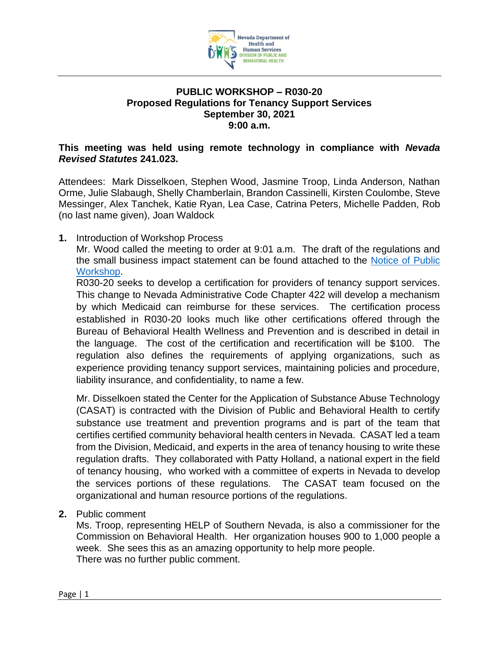

## **PUBLIC WORKSHOP – R030-20 Proposed Regulations for Tenancy Support Services September 30, 2021 9:00 a.m.**

## **This meeting was held using remote technology in compliance with** *Nevada Revised Statutes* **241.023.**

Attendees: Mark Disselkoen, Stephen Wood, Jasmine Troop, Linda Anderson, Nathan Orme, Julie Slabaugh, Shelly Chamberlain, Brandon Cassinelli, Kirsten Coulombe, Steve Messinger, Alex Tanchek, Katie Ryan, Lea Case, Catrina Peters, Michelle Padden, Rob (no last name given), Joan Waldock

**1.** Introduction of Workshop Process

Mr. Wood called the meeting to order at 9:01 a.m. The draft of the regulations and the small business impact statement can be found attached to the [Notice of Public](https://dpbh.nv.gov/uploadedFiles/dpbh.nv.gov/content/Programs/ClinicalSAPTA/dta/Statutes/R030-20%20DPBH%20Notice%20of%20Public%20Workshop%20-%20ADA%20Accessible(3).pdf)  [Workshop.](https://dpbh.nv.gov/uploadedFiles/dpbh.nv.gov/content/Programs/ClinicalSAPTA/dta/Statutes/R030-20%20DPBH%20Notice%20of%20Public%20Workshop%20-%20ADA%20Accessible(3).pdf)

R030-20 seeks to develop a certification for providers of tenancy support services. This change to Nevada Administrative Code Chapter 422 will develop a mechanism by which Medicaid can reimburse for these services. The certification process established in R030-20 looks much like other certifications offered through the Bureau of Behavioral Health Wellness and Prevention and is described in detail in the language. The cost of the certification and recertification will be \$100. The regulation also defines the requirements of applying organizations, such as experience providing tenancy support services, maintaining policies and procedure, liability insurance, and confidentiality, to name a few.

Mr. Disselkoen stated the Center for the Application of Substance Abuse Technology (CASAT) is contracted with the Division of Public and Behavioral Health to certify substance use treatment and prevention programs and is part of the team that certifies certified community behavioral health centers in Nevada. CASAT led a team from the Division, Medicaid, and experts in the area of tenancy housing to write these regulation drafts. They collaborated with Patty Holland, a national expert in the field of tenancy housing, who worked with a committee of experts in Nevada to develop the services portions of these regulations. The CASAT team focused on the organizational and human resource portions of the regulations.

**2.** Public comment

Ms. Troop, representing HELP of Southern Nevada, is also a commissioner for the Commission on Behavioral Health. Her organization houses 900 to 1,000 people a week. She sees this as an amazing opportunity to help more people. There was no further public comment.